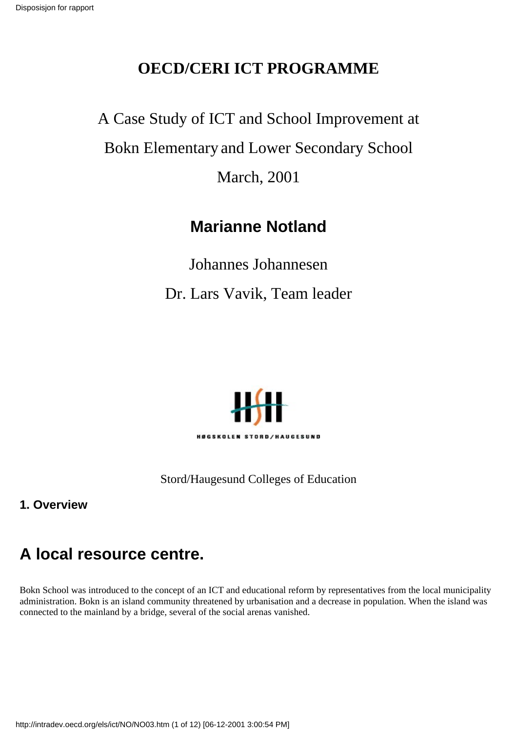### **OECD/CERI ICT PROGRAMME**

A Case Study of ICT and School Improvement at Bokn Elementary and Lower Secondary School March, 2001

## **Marianne Notland**

Johannes Johannesen Dr. Lars Vavik, Team leader



Stord/Haugesund Colleges of Education

**1. Overview**

# **A local resource centre.**

Bokn School was introduced to the concept of an ICT and educational reform by representatives from the local municipality administration. Bokn is an island community threatened by urbanisation and a decrease in population. When the island was connected to the mainland by a bridge, several of the social arenas vanished.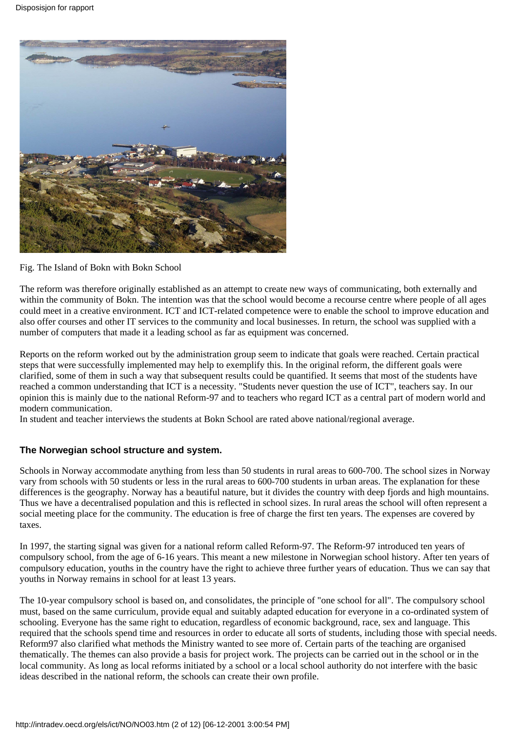

Fig. The Island of Bokn with Bokn School

The reform was therefore originally established as an attempt to create new ways of communicating, both externally and within the community of Bokn. The intention was that the school would become a recourse centre where people of all ages could meet in a creative environment. ICT and ICT-related competence were to enable the school to improve education and also offer courses and other IT services to the community and local businesses. In return, the school was supplied with a number of computers that made it a leading school as far as equipment was concerned.

Reports on the reform worked out by the administration group seem to indicate that goals were reached. Certain practical steps that were successfully implemented may help to exemplify this. In the original reform, the different goals were clarified, some of them in such a way that subsequent results could be quantified. It seems that most of the students have reached a common understanding that ICT is a necessity. "Students never question the use of ICT", teachers say. In our opinion this is mainly due to the national Reform-97 and to teachers who regard ICT as a central part of modern world and modern communication.

In student and teacher interviews the students at Bokn School are rated above national/regional average.

#### **The Norwegian school structure and system.**

Schools in Norway accommodate anything from less than 50 students in rural areas to 600-700. The school sizes in Norway vary from schools with 50 students or less in the rural areas to 600-700 students in urban areas. The explanation for these differences is the geography. Norway has a beautiful nature, but it divides the country with deep fjords and high mountains. Thus we have a decentralised population and this is reflected in school sizes. In rural areas the school will often represent a social meeting place for the community. The education is free of charge the first ten years. The expenses are covered by taxes.

In 1997, the starting signal was given for a national reform called Reform-97. The Reform-97 introduced ten years of compulsory school, from the age of 6-16 years. This meant a new milestone in Norwegian school history. After ten years of compulsory education, youths in the country have the right to achieve three further years of education. Thus we can say that youths in Norway remains in school for at least 13 years.

The 10-year compulsory school is based on, and consolidates, the principle of "one school for all". The compulsory school must, based on the same curriculum, provide equal and suitably adapted education for everyone in a co-ordinated system of schooling. Everyone has the same right to education, regardless of economic background, race, sex and language. This required that the schools spend time and resources in order to educate all sorts of students, including those with special needs. Reform97 also clarified what methods the Ministry wanted to see more of. Certain parts of the teaching are organised thematically. The themes can also provide a basis for project work. The projects can be carried out in the school or in the local community. As long as local reforms initiated by a school or a local school authority do not interfere with the basic ideas described in the national reform, the schools can create their own profile.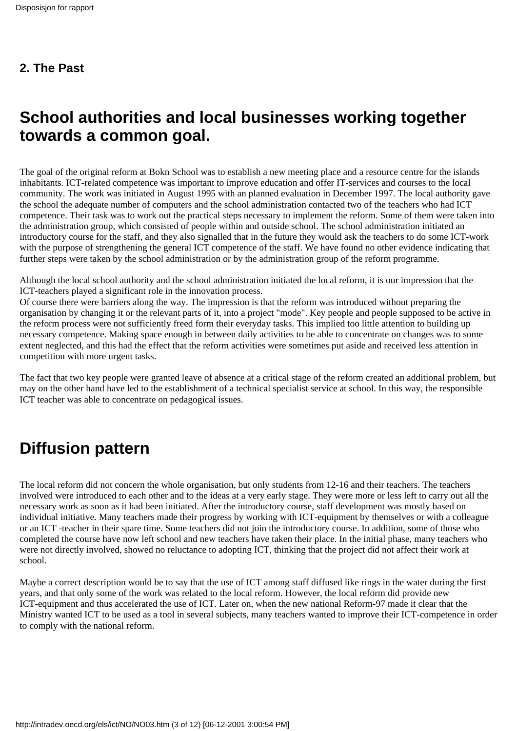## **School authorities and local businesses working together towards a common goal.**

The goal of the original reform at Bokn School was to establish a new meeting place and a resource centre for the islands inhabitants. ICT-related competence was important to improve education and offer IT-services and courses to the local community. The work was initiated in August 1995 with an planned evaluation in December 1997. The local authority gave the school the adequate number of computers and the school administration contacted two of the teachers who had ICT competence. Their task was to work out the practical steps necessary to implement the reform. Some of them were taken into the administration group, which consisted of people within and outside school. The school administration initiated an introductory course for the staff, and they also signalled that in the future they would ask the teachers to do some ICT-work with the purpose of strengthening the general ICT competence of the staff. We have found no other evidence indicating that further steps were taken by the school administration or by the administration group of the reform programme.

Although the local school authority and the school administration initiated the local reform, it is our impression that the ICT-teachers played a significant role in the innovation process.

Of course there were barriers along the way. The impression is that the reform was introduced without preparing the organisation by changing it or the relevant parts of it, into a project "mode". Key people and people supposed to be active in the reform process were not sufficiently freed form their everyday tasks. This implied too little attention to building up necessary competence. Making space enough in between daily activities to be able to concentrate on changes was to some extent neglected, and this had the effect that the reform activities were sometimes put aside and received less attention in competition with more urgent tasks.

The fact that two key people were granted leave of absence at a critical stage of the reform created an additional problem, but may on the other hand have led to the establishment of a technical specialist service at school. In this way, the responsible ICT teacher was able to concentrate on pedagogical issues.

# **Diffusion pattern**

The local reform did not concern the whole organisation, but only students from 12-16 and their teachers. The teachers involved were introduced to each other and to the ideas at a very early stage. They were more or less left to carry out all the necessary work as soon as it had been initiated. After the introductory course, staff development was mostly based on individual initiative. Many teachers made their progress by working with ICT-equipment by themselves or with a colleague or an ICT -teacher in their spare time. Some teachers did not join the introductory course. In addition, some of those who completed the course have now left school and new teachers have taken their place. In the initial phase, many teachers who were not directly involved, showed no reluctance to adopting ICT, thinking that the project did not affect their work at school.

Maybe a correct description would be to say that the use of ICT among staff diffused like rings in the water during the first years, and that only some of the work was related to the local reform. However, the local reform did provide new ICT-equipment and thus accelerated the use of ICT. Later on, when the new national Reform-97 made it clear that the Ministry wanted ICT to be used as a tool in several subjects, many teachers wanted to improve their ICT-competence in order to comply with the national reform.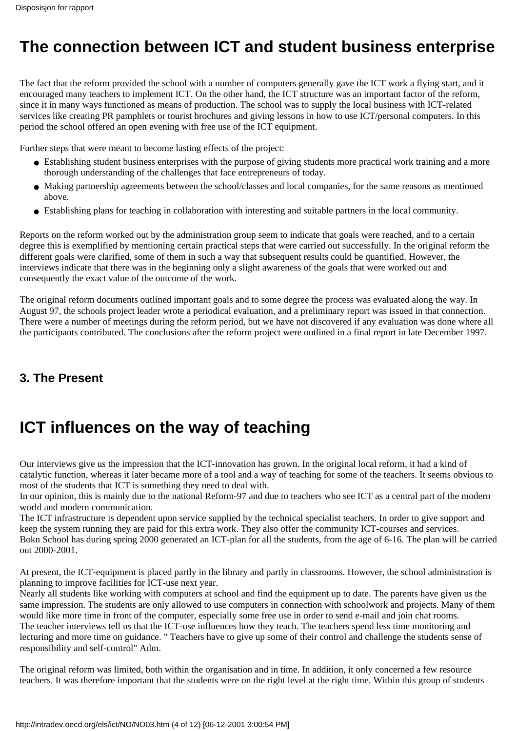## **The connection between ICT and student business enterprise**

The fact that the reform provided the school with a number of computers generally gave the ICT work a flying start, and it encouraged many teachers to implement ICT. On the other hand, the ICT structure was an important factor of the reform, since it in many ways functioned as means of production. The school was to supply the local business with ICT-related services like creating PR pamphlets or tourist brochures and giving lessons in how to use ICT/personal computers. In this period the school offered an open evening with free use of the ICT equipment.

Further steps that were meant to become lasting effects of the project:

- Establishing student business enterprises with the purpose of giving students more practical work training and a more thorough understanding of the challenges that face entrepreneurs of today.
- Making partnership agreements between the school/classes and local companies, for the same reasons as mentioned above.
- Establishing plans for teaching in collaboration with interesting and suitable partners in the local community.

Reports on the reform worked out by the administration group seem to indicate that goals were reached, and to a certain degree this is exemplified by mentioning certain practical steps that were carried out successfully. In the original reform the different goals were clarified, some of them in such a way that subsequent results could be quantified. However, the interviews indicate that there was in the beginning only a slight awareness of the goals that were worked out and consequently the exact value of the outcome of the work.

The original reform documents outlined important goals and to some degree the process was evaluated along the way. In August 97, the schools project leader wrote a periodical evaluation, and a preliminary report was issued in that connection. There were a number of meetings during the reform period, but we have not discovered if any evaluation was done where all the participants contributed. The conclusions after the reform project were outlined in a final report in late December 1997.

#### **3. The Present**

# **ICT influences on the way of teaching**

Our interviews give us the impression that the ICT-innovation has grown. In the original local reform, it had a kind of catalytic function, whereas it later became more of a tool and a way of teaching for some of the teachers. It seems obvious to most of the students that ICT is something they need to deal with.

In our opinion, this is mainly due to the national Reform-97 and due to teachers who see ICT as a central part of the modern world and modern communication.

The ICT infrastructure is dependent upon service supplied by the technical specialist teachers. In order to give support and keep the system running they are paid for this extra work. They also offer the community ICT-courses and services. Bokn School has during spring 2000 generated an ICT-plan for all the students, from the age of 6-16. The plan will be carried out 2000-2001.

At present, the ICT-equipment is placed partly in the library and partly in classrooms. However, the school administration is planning to improve facilities for ICT-use next year.

Nearly all students like working with computers at school and find the equipment up to date. The parents have given us the same impression. The students are only allowed to use computers in connection with schoolwork and projects. Many of them would like more time in front of the computer, especially some free use in order to send e-mail and join chat rooms. The teacher interviews tell us that the ICT-use influences how they teach. The teachers spend less time monitoring and lecturing and more time on guidance. " Teachers have to give up some of their control and challenge the students sense of responsibility and self-control" Adm.

The original reform was limited, both within the organisation and in time. In addition, it only concerned a few resource teachers. It was therefore important that the students were on the right level at the right time. Within this group of students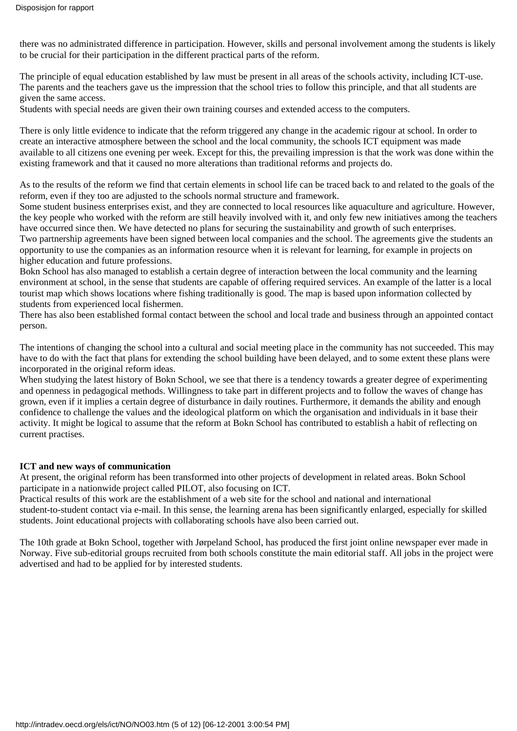there was no administrated difference in participation. However, skills and personal involvement among the students is likely to be crucial for their participation in the different practical parts of the reform.

The principle of equal education established by law must be present in all areas of the school s activity, including ICT-use. The parents and the teachers gave us the impression that the school tries to follow this principle, and that all students are given the same access.

Students with special needs are given their own training courses and extended access to the computers.

There is only little evidence to indicate that the reform triggered any change in the academic rigour at school. In order to create an interactive atmosphere between the school and the local community, the schools ICT equipment was made available to all citizens one evening per week. Except for this, the prevailing impression is that the work was done within the existing framework and that it caused no more alterations than traditional reforms and projects do.

As to the results of the reform we find that certain elements in school life can be traced back to and related to the goals of the reform, even if they too are adjusted to the school s normal structure and framework.

Some student business enterprises exist, and they are connected to local resources like aquaculture and agriculture. However, the key people who worked with the reform are still heavily involved with it, and only few new initiatives among the teachers have occurred since then. We have detected no plans for securing the sustainability and growth of such enterprises. Two partnership agreements have been signed between local companies and the school. The agreements give the students an

opportunity to use the companies as an information resource when it is relevant for learning, for example in projects on higher education and future professions.

Bokn School has also managed to establish a certain degree of interaction between the local community and the learning environment at school, in the sense that students are capable of offering required services. An example of the latter is a local tourist map which shows locations where fishing traditionally is good. The map is based upon information collected by students from experienced local fishermen.

There has also been established formal contact between the school and local trade and business through an appointed contact person.

The intentions of changing the school into a cultural and social meeting place in the community has not succeeded. This may have to do with the fact that plans for extending the school building have been delayed, and to some extent these plans were incorporated in the original reform ideas.

When studying the latest history of Bokn School, we see that there is a tendency towards a greater degree of experimenting and openness in pedagogical methods. Willingness to take part in different projects and to follow the waves of change has grown, even if it implies a certain degree of disturbance in daily routines. Furthermore, it demands the ability and enough confidence to challenge the values and the ideological platform on which the organisation and individuals in it base their activity. It might be logical to assume that the reform at Bokn School has contributed to establish a habit of reflecting on current practises.

#### **ICT and new ways of communication**

At present, the original reform has been transformed into other projects of development in related areas. Bokn School participate in a nationwide project called PILOT, also focusing on ICT.

Practical results of this work are the establishment of a web site for the school and national and international student-to-student contact via e-mail. In this sense, the learning arena has been significantly enlarged, especially for skilled students. Joint educational projects with collaborating schools have also been carried out.

The 10th grade at Bokn School, together with Jørpeland School, has produced the first joint online newspaper ever made in Norway. Five sub-editorial groups recruited from both schools constitute the main editorial staff. All jobs in the project were advertised and had to be applied for by interested students.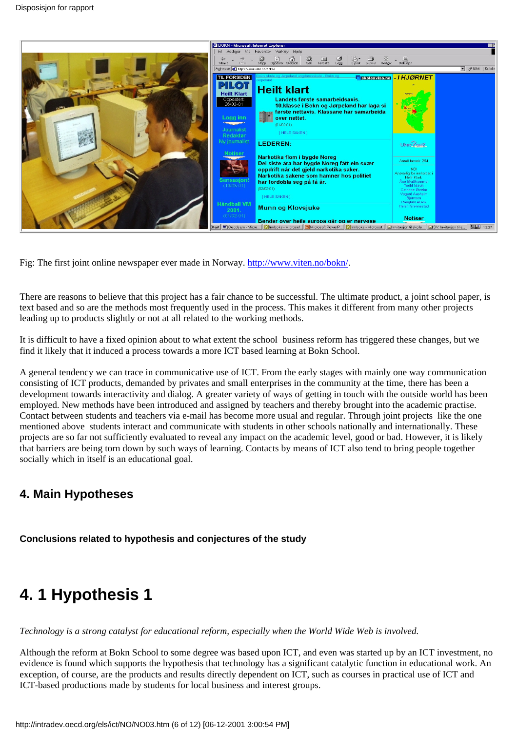

Fig: The first joint online newspaper ever made in Norway. [http://www.viten.no/bokn/.](http://www.viten.no/bokn/)

There are reasons to believe that this project has a fair chance to be successful. The ultimate product, a joint school paper, is text based and so are the methods most frequently used in the process. This makes it different from many other projects leading up to products slightly or not at all related to the working methods.

It is difficult to have a fixed opinion about to what extent the school business reform has triggered these changes, but we find it likely that it induced a process towards a more ICT based learning at Bokn School.

A general tendency we can trace in communicative use of ICT. From the early stages with mainly one way communication consisting of ICT products, demanded by privates and small enterprises in the community at the time, there has been a development towards interactivity and dialog. A greater variety of ways of getting in touch with the outside world has been employed. New methods have been introduced and assigned by teachers and thereby brought into the academic practise. Contact between students and teachers via e-mail has become more usual and regular. Through joint projects like the one mentioned above students interact and communicate with students in other schools nationally and internationally. These projects are so far not sufficiently evaluated to reveal any impact on the academic level, good or bad. However, it is likely that barriers are being torn down by such ways of learning. Contacts by means of ICT also tend to bring people together socially which in itself is an educational goal.

### **4. Main Hypotheses**

**Conclusions related to hypothesis and conjectures of the study**

# **4. 1 Hypothesis 1**

*Technology is a strong catalyst for educational reform, especially when the World Wide Web is involved.*

Although the reform at Bokn School to some degree was based upon ICT, and even was started up by an ICT investment, no evidence is found which supports the hypothesis that technology has a significant catalytic function in educational work. An exception, of course, are the products and results directly dependent on ICT, such as courses in practical use of ICT and ICT-based productions made by students for local business and interest groups.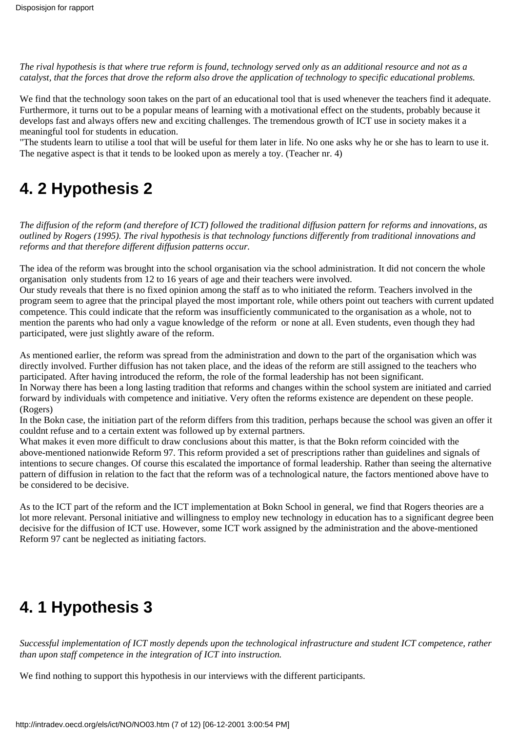*The rival hypothesis is that where true reform is found, technology served only as an additional resource and not as a catalyst, that the forces that drove the reform also drove the application of technology to specific educational problems.*

We find that the technology soon takes on the part of an educational tool that is used whenever the teachers find it adequate. Furthermore, it turns out to be a popular means of learning with a motivational effect on the students, probably because it develops fast and always offers new and exciting challenges. The tremendous growth of ICT use in society makes it a meaningful tool for students in education.

"The students learn to utilise a tool that will be useful for them later in life. No one asks why he or she has to learn to use it. The negative aspect is that it tends to be looked upon as merely a toy. (Teacher nr. 4)

### **4. 2 Hypothesis 2**

*The diffusion of the reform (and therefore of ICT) followed the traditional diffusion pattern for reforms and innovations, as outlined by Rogers (1995). The rival hypothesis is that technology functions differently from traditional innovations and reforms and that therefore different diffusion patterns occur.*

The idea of the reform was brought into the school organisation via the school administration. It did not concern the whole organisation only students from 12 to 16 years of age and their teachers were involved.

Our study reveals that there is no fixed opinion among the staff as to who initiated the reform. Teachers involved in the program seem to agree that the principal played the most important role, while others point out teachers with current updated competence. This could indicate that the reform was insufficiently communicated to the organisation as a whole, not to mention the parents who had only a vague knowledge of the reform or none at all. Even students, even though they had participated, were just slightly aware of the reform.

As mentioned earlier, the reform was spread from the administration and down to the part of the organisation which was directly involved. Further diffusion has not taken place, and the ideas of the reform are still assigned to the teachers who participated. After having introduced the reform, the role of the formal leadership has not been significant.

In Norway there has been a long lasting tradition that reforms and changes within the school system are initiated and carried forward by individuals with competence and initiative. Very often the reforms existence are dependent on these people. (Rogers)

In the Bokn case, the initiation part of the reform differs from this tradition, perhaps because the school was given an offer it couldnt refuse and to a certain extent was followed up by external partners.

What makes it even more difficult to draw conclusions about this matter, is that the Bokn reform coincided with the above-mentioned nationwide Reform 97. This reform provided a set of prescriptions rather than guidelines and signals of intentions to secure changes. Of course this escalated the importance of formal leadership. Rather than seeing the alternative pattern of diffusion in relation to the fact that the reform was of a technological nature, the factors mentioned above have to be considered to be decisive.

As to the ICT part of the reform and the ICT implementation at Bokn School in general, we find that Rogers theories are a lot more relevant. Personal initiative and willingness to employ new technology in education has to a significant degree been decisive for the diffusion of ICT use. However, some ICT work assigned by the administration and the above-mentioned Reform 97 cant be neglected as initiating factors.

# **4. 1 Hypothesis 3**

*Successful implementation of ICT mostly depends upon the technological infrastructure and student ICT competence, rather than upon staff competence in the integration of ICT into instruction.*

We find nothing to support this hypothesis in our interviews with the different participants.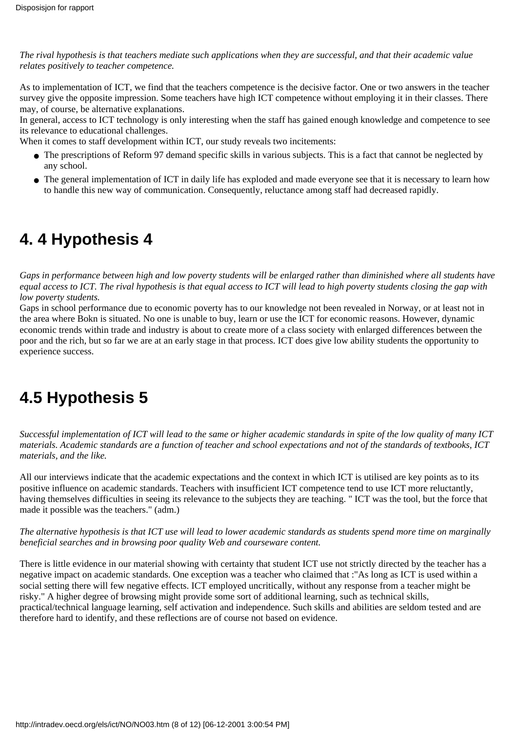*The rival hypothesis is that teachers mediate such applications when they are successful, and that their academic value relates positively to teacher competence.*

As to implementation of ICT, we find that the teachers competence is the decisive factor. One or two answers in the teacher survey give the opposite impression. Some teachers have high ICT competence without employing it in their classes. There may, of course, be alternative explanations.

In general, access to ICT technology is only interesting when the staff has gained enough knowledge and competence to see its relevance to educational challenges.

When it comes to staff development within ICT, our study reveals two incitements:

- The prescriptions of Reform 97 demand specific skills in various subjects. This is a fact that cannot be neglected by any school.
- The general implementation of ICT in daily life has exploded and made everyone see that it is necessary to learn how to handle this new way of communication. Consequently, reluctance among staff had decreased rapidly.

### **4. 4 Hypothesis 4**

*Gaps in performance between high and low poverty students will be enlarged rather than diminished where all students have equal access to ICT. The rival hypothesis is that equal access to ICT will lead to high poverty students closing the gap with low poverty students.*

Gaps in school performance due to economic poverty has to our knowledge not been revealed in Norway, or at least not in the area where Bokn is situated. No one is unable to buy, learn or use the ICT for economic reasons. However, dynamic economic trends within trade and industry is about to create more of a class society with enlarged differences between the poor and the rich, but so far we are at an early stage in that process. ICT does give low ability students the opportunity to experience success.

# **4.5 Hypothesis 5**

*Successful implementation of ICT will lead to the same or higher academic standards in spite of the low quality of many ICT materials. Academic standards are a function of teacher and school expectations and not of the standards of textbooks, ICT materials, and the like.*

All our interviews indicate that the academic expectations and the context in which ICT is utilised are key points as to its positive influence on academic standards. Teachers with insufficient ICT competence tend to use ICT more reluctantly, having themselves difficulties in seeing its relevance to the subjects they are teaching. " ICT was the tool, but the force that made it possible was the teachers." (adm.)

*The alternative hypothesis is that ICT use will lead to lower academic standards as students spend more time on marginally beneficial searches and in browsing poor quality Web and courseware content.*

There is little evidence in our material showing with certainty that student ICT use not strictly directed by the teacher has a negative impact on academic standards. One exception was a teacher who claimed that :"As long as ICT is used within a social setting there will few negative effects. ICT employed uncritically, without any response from a teacher might be risky." A higher degree of browsing might provide some sort of additional learning, such as technical skills, practical/technical language learning, self activation and independence. Such skills and abilities are seldom tested and are therefore hard to identify, and these reflections are of course not based on evidence.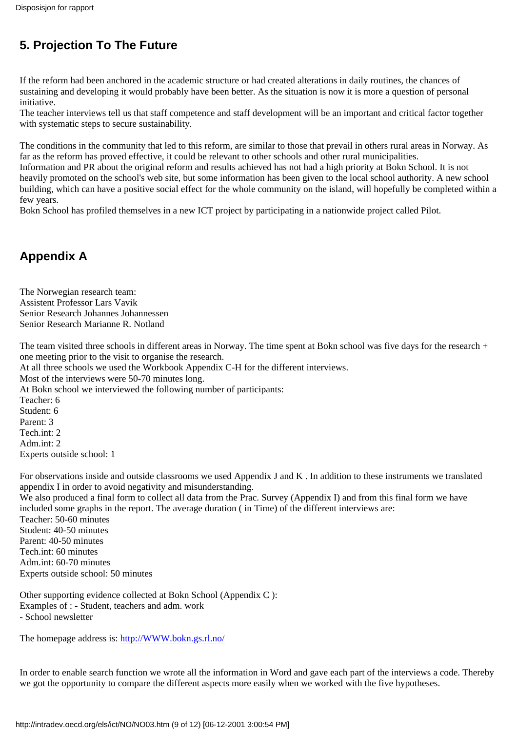### **5. Projection To The Future**

If the reform had been anchored in the academic structure or had created alterations in daily routines, the chances of sustaining and developing it would probably have been better. As the situation is now it is more a question of personal initiative.

The teacher interviews tell us that staff competence and staff development will be an important and critical factor together with systematic steps to secure sustainability.

The conditions in the community that led to this reform, are similar to those that prevail in others rural areas in Norway. As far as the reform has proved effective, it could be relevant to other schools and other rural municipalities.

Information and PR about the original reform and results achieved has not had a high priority at Bokn School. It is not heavily promoted on the school's web site, but some information has been given to the local school authority. A new school building, which can have a positive social effect for the whole community on the island, will hopefully be completed within a few years.

Bokn School has profiled themselves in a new ICT project by participating in a nationwide project called Pilot.

### **Appendix A**

The Norwegian research team: Assistent Professor Lars Vavik Senior Research Johannes Johannessen Senior Research Marianne R. Notland

The team visited three schools in different areas in Norway. The time spent at Bokn school was five days for the research + one meeting prior to the visit to organise the research.

At all three schools we used the Workbook Appendix C-H for the different interviews.

Most of the interviews were 50-70 minutes long.

At Bokn school we interviewed the following number of participants:

Teacher: 6 Student: 6 Parent: 3 Tech int: 2 Adm.int: 2 Experts outside school: 1

For observations inside and outside classrooms we used Appendix J and K . In addition to these instruments we translated appendix I in order to avoid negativity and misunderstanding.

We also produced a final form to collect all data from the Prac. Survey (Appendix I) and from this final form we have included some graphs in the report. The average duration ( in Time) of the different interviews are: Teacher: 50-60 minutes Student: 40-50 minutes Parent: 40-50 minutes Tech.int: 60 minutes Adm.int: 60-70 minutes Experts outside school: 50 minutes

Other supporting evidence collected at Bokn School (Appendix C ): Examples of : - Student, teachers and adm. work - School newsletter

The homepage address is: [http://WWW.bokn.gs.rl.no/](http://www.bokn.gs.rl.no/)

In order to enable search function we wrote all the information in Word and gave each part of the interviews a code. Thereby we got the opportunity to compare the different aspects more easily when we worked with the five hypotheses.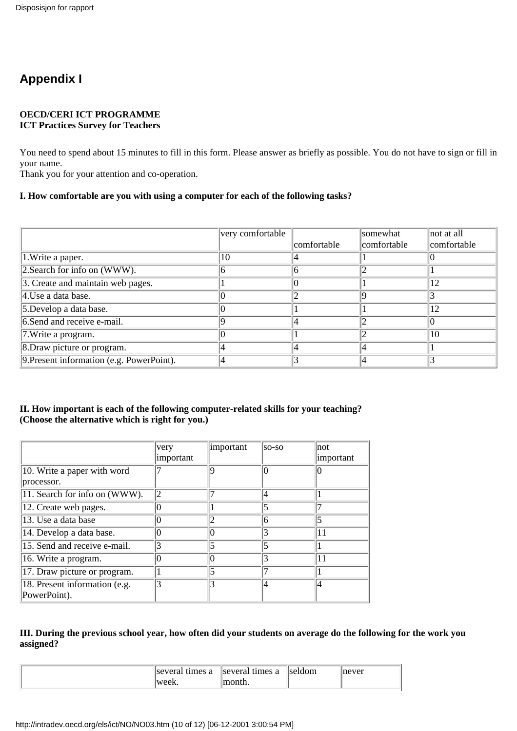### **Appendix I**

#### **OECD/CERI ICT PROGRAMME ICT Practices Survey for Teachers**

You need to spend about 15 minutes to fill in this form. Please answer as briefly as possible. You do not have to sign or fill in your name.

Thank you for your attention and co-operation.

#### **I. How comfortable are you with using a computer for each of the following tasks?**

|                                           | very comfortable |             | somewhat    | not at all  |
|-------------------------------------------|------------------|-------------|-------------|-------------|
|                                           |                  | comfortable | comfortable | comfortable |
| 1. Write a paper.                         | 10               |             |             |             |
| $2. Search$ for info on (WWW).            |                  |             |             |             |
| 3. Create and maintain web pages.         |                  |             |             | 12          |
| $ 4$ . Use a data base.                   |                  |             |             |             |
| 5. Develop a data base.                   |                  |             |             | 12          |
| 6.Send and receive e-mail.                |                  |             |             |             |
| 7. Write a program.                       |                  |             |             | 10          |
| 8. Draw picture or program.               |                  |             |             |             |
| 9. Present information (e.g. PowerPoint). |                  |             |             |             |

#### **II. How important is each of the following computer-related skills for your teaching? (Choose the alternative which is right for you.)**

|                                               | very<br>important | important | so-so | not<br>important |
|-----------------------------------------------|-------------------|-----------|-------|------------------|
| 10. Write a paper with word                   |                   |           |       |                  |
| processor.                                    |                   |           |       |                  |
| 11. Search for info on (WWW).                 | ◯                 |           | 4     |                  |
| 12. Create web pages.                         |                   |           | 5     |                  |
| 13. Use a data base                           |                   |           | 6     |                  |
| 14. Develop a data base.                      |                   |           | 3     | 11               |
| 15. Send and receive e-mail.                  |                   |           | 5     |                  |
| 16. Write a program.                          |                   |           | 3     | 11               |
| 17. Draw picture or program.                  |                   |           |       |                  |
| 18. Present information (e.g.<br>PowerPoint). |                   |           | 14    | 14               |

#### **III. During the previous school year, how often did your students on average do the following for the work you assigned?**

| several times a | several times a | <i>seldom</i> | never |
|-----------------|-----------------|---------------|-------|
| week<br>WUUN.   | 10nth.          |               |       |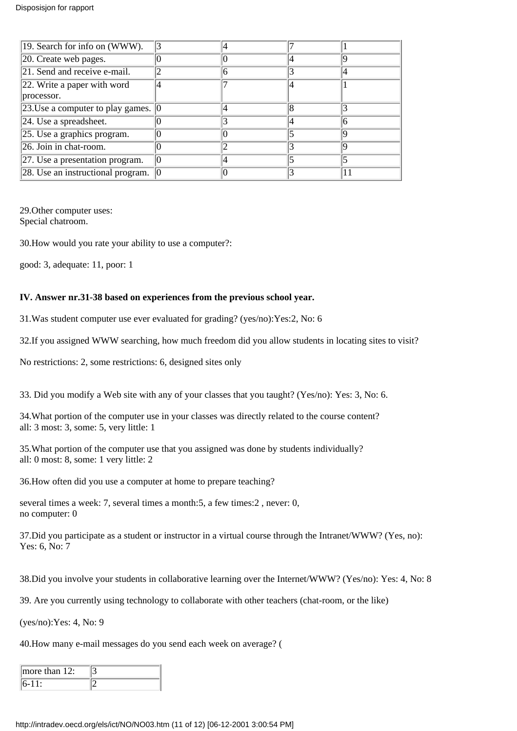| 19. Search for info on (WWW).                       |  |  |
|-----------------------------------------------------|--|--|
| $ 20$ . Create web pages.                           |  |  |
| 21. Send and receive e-mail.                        |  |  |
| 22. Write a paper with word                         |  |  |
| processor.                                          |  |  |
| 23. Use a computer to play games. $\vert 0 \rangle$ |  |  |
| $ 24$ . Use a spreadsheet.                          |  |  |
| $\left 25. \right.$ Use a graphics program.         |  |  |
| $\sqrt{26}$ . Join in chat-room.                    |  |  |
| [27. Use a presentation program.                    |  |  |
| 28. Use an instructional program.                   |  |  |

29.Other computer uses: Special chatroom.

30.How would you rate your ability to use a computer?:

good: 3, adequate: 11, poor: 1

#### **IV. Answer nr.31-38 based on experiences from the previous school year.**

31.Was student computer use ever evaluated for grading? (yes/no):Yes:2, No: 6

32.If you assigned WWW searching, how much freedom did you allow students in locating sites to visit?

No restrictions: 2, some restrictions: 6, designed sites only

33. Did you modify a Web site with any of your classes that you taught? (Yes/no): Yes: 3, No: 6.

34.What portion of the computer use in your classes was directly related to the course content? all: 3 most: 3, some: 5, very little: 1

35.What portion of the computer use that you assigned was done by students individually? all: 0 most: 8, some: 1 very little: 2

36.How often did you use a computer at home to prepare teaching?

several times a week: 7, several times a month:5, a few times:2 , never: 0, no computer: 0

37.Did you participate as a student or instructor in a virtual course through the Intranet/WWW? (Yes, no): Yes: 6, No: 7

38.Did you involve your students in collaborative learning over the Internet/WWW? (Yes/no): Yes: 4, No: 8

39. Are you currently using technology to collaborate with other teachers (chat-room, or the like)

(yes/no):Yes: 4, No: 9

40.How many e-mail messages do you send each week on average? (

| more than $12$ : |  |
|------------------|--|
|                  |  |